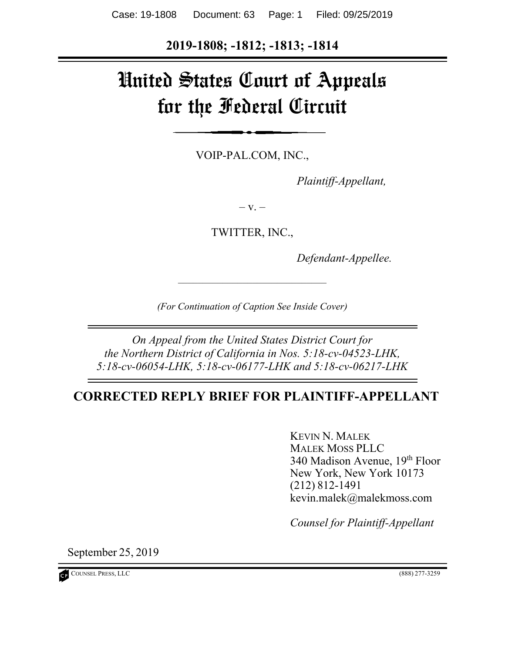**2019-1808; -1812; -1813; -1814** 

# United States Court of Appeals for the Federal Circuit

VOIP-PAL.COM, INC.,

*Plaintiff-Appellant,*

 $-$  V.  $-$ 

TWITTER, INC.,

*Defendant-Appellee.* 

*(For Continuation of Caption See Inside Cover)*

*––––––––––––––––––––––––––––––*

*On Appeal from the United States District Court for the Northern District of California in Nos. 5:18-cv-04523-LHK, 5:18-cv-06054-LHK, 5:18-cv-06177-LHK and 5:18-cv-06217-LHK* 

## **CORRECTED REPLY BRIEF FOR PLAINTIFF-APPELLANT**

KEVIN N. MALEK MALEK MOSS PLLC 340 Madison Avenue, 19th Floor New York, New York 10173 (212) 812-1491 kevin.malek@malekmoss.com

*Counsel for Plaintiff-Appellant* 

September 25, 2019

COUNSEL PRESS, LLC (888) 277-3259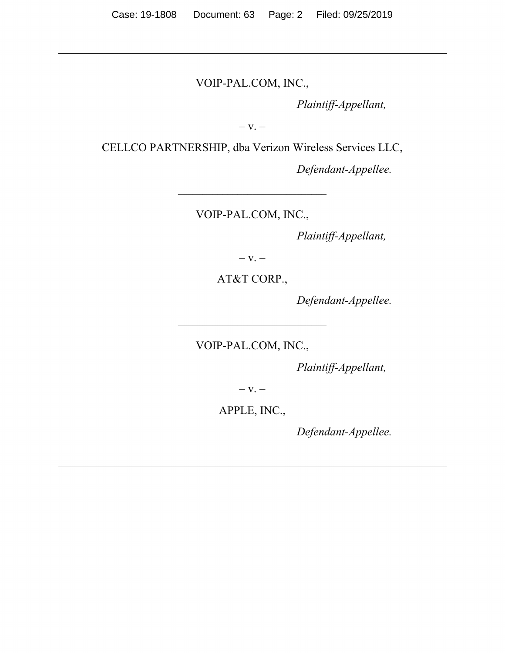VOIP-PAL.COM, INC.,

*Plaintiff-Appellant,* 

 $-V. -$ 

CELLCO PARTNERSHIP, dba Verizon Wireless Services LLC,

*Defendant-Appellee.* 

VOIP-PAL.COM, INC.,

*––––––––––––––––––––––––––––––*

*Plaintiff-Appellant,* 

 $-$  V.  $-$ 

AT&T CORP.,

*Defendant-Appellee.* 

VOIP-PAL.COM, INC.,

*––––––––––––––––––––––––––––––*

*Plaintiff-Appellant,* 

 $-$  V.  $-$ 

APPLE, INC.,

*Defendant-Appellee.*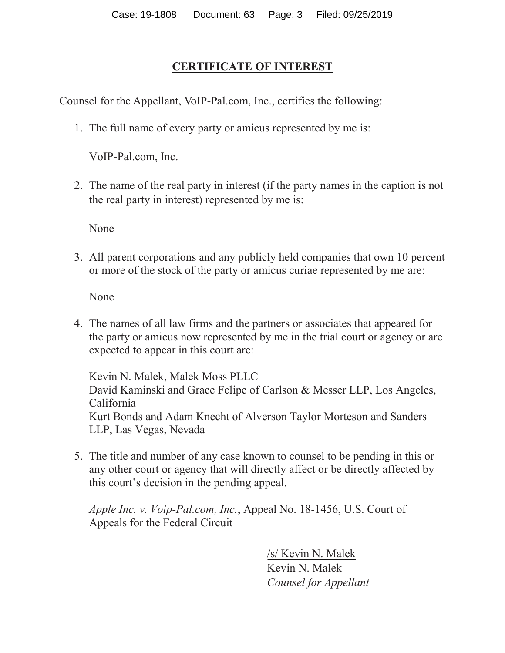## **CERTIFICATE OF INTEREST**

Counsel for the Appellant, VoIP-Pal.com, Inc., certifies the following:

1. The full name of every party or amicus represented by me is:

VoIP-Pal.com, Inc.

2. The name of the real party in interest (if the party names in the caption is not the real party in interest) represented by me is:

None

3. All parent corporations and any publicly held companies that own 10 percent or more of the stock of the party or amicus curiae represented by me are:

None

4. The names of all law firms and the partners or associates that appeared for the party or amicus now represented by me in the trial court or agency or are expected to appear in this court are:

Kevin N. Malek, Malek Moss PLLC David Kaminski and Grace Felipe of Carlson & Messer LLP, Los Angeles, California Kurt Bonds and Adam Knecht of Alverson Taylor Morteson and Sanders LLP, Las Vegas, Nevada

5. The title and number of any case known to counsel to be pending in this or any other court or agency that will directly affect or be directly affected by this court's decision in the pending appeal.

*Apple Inc. v. Voip-Pal.com, Inc.*, Appeal No. 18-1456, U.S. Court of Appeals for the Federal Circuit

> /s/ Kevin N. Malek Kevin N. Malek *Counsel for Appellant*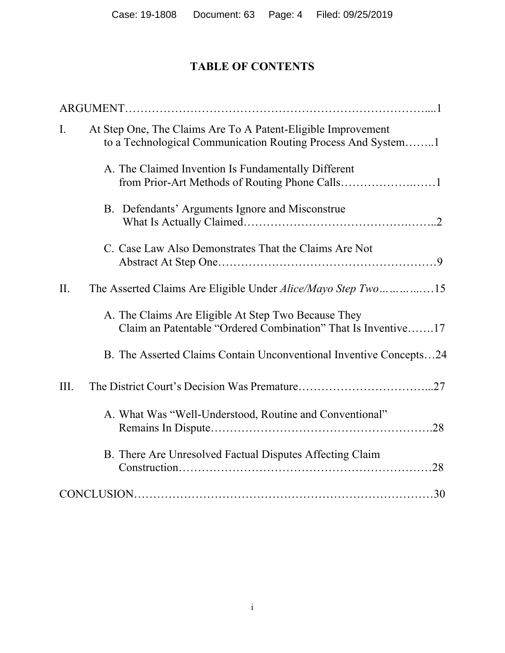# **TABLE OF CONTENTS**

| $\mathbf{I}$ . | At Step One, The Claims Are To A Patent-Eligible Improvement<br>to a Technological Communication Routing Process And System1 |  |  |  |  |  |  |  |
|----------------|------------------------------------------------------------------------------------------------------------------------------|--|--|--|--|--|--|--|
|                | A. The Claimed Invention Is Fundamentally Different                                                                          |  |  |  |  |  |  |  |
|                | B. Defendants' Arguments Ignore and Misconstrue                                                                              |  |  |  |  |  |  |  |
|                | C. Case Law Also Demonstrates That the Claims Are Not                                                                        |  |  |  |  |  |  |  |
| II.            | The Asserted Claims Are Eligible Under Alice/Mayo Step Two15                                                                 |  |  |  |  |  |  |  |
|                | A. The Claims Are Eligible At Step Two Because They<br>Claim an Patentable "Ordered Combination" That Is Inventive17         |  |  |  |  |  |  |  |
|                | B. The Asserted Claims Contain Unconventional Inventive Concepts24                                                           |  |  |  |  |  |  |  |
| Ш.             |                                                                                                                              |  |  |  |  |  |  |  |
|                | A. What Was "Well-Understood, Routine and Conventional"                                                                      |  |  |  |  |  |  |  |
|                | B. There Are Unresolved Factual Disputes Affecting Claim                                                                     |  |  |  |  |  |  |  |
|                |                                                                                                                              |  |  |  |  |  |  |  |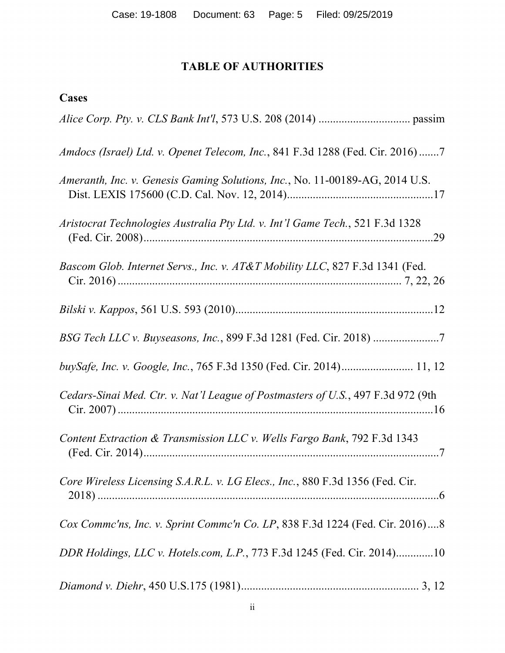# **TABLE OF AUTHORITIES**

| Amdocs (Israel) Ltd. v. Openet Telecom, Inc., 841 F.3d 1288 (Fed. Cir. 2016)7    |
|----------------------------------------------------------------------------------|
| Ameranth, Inc. v. Genesis Gaming Solutions, Inc., No. 11-00189-AG, 2014 U.S.     |
| Aristocrat Technologies Australia Pty Ltd. v. Int'l Game Tech., 521 F.3d 1328    |
| Bascom Glob. Internet Servs., Inc. v. AT&T Mobility LLC, 827 F.3d 1341 (Fed.     |
|                                                                                  |
| BSG Tech LLC v. Buyseasons, Inc., 899 F.3d 1281 (Fed. Cir. 2018)                 |
| buySafe, Inc. v. Google, Inc., 765 F.3d 1350 (Fed. Cir. 2014) 11, 12             |
| Cedars-Sinai Med. Ctr. v. Nat'l League of Postmasters of U.S., 497 F.3d 972 (9th |
| Content Extraction & Transmission LLC v. Wells Fargo Bank, 792 F.3d 1343         |
| Core Wireless Licensing S.A.R.L. v. LG Elecs., Inc., 880 F.3d 1356 (Fed. Cir.    |
| Cox Commc'ns, Inc. v. Sprint Commc'n Co. LP, 838 F.3d 1224 (Fed. Cir. 2016)8     |
| DDR Holdings, LLC v. Hotels.com, L.P., 773 F.3d 1245 (Fed. Cir. 2014)10          |
|                                                                                  |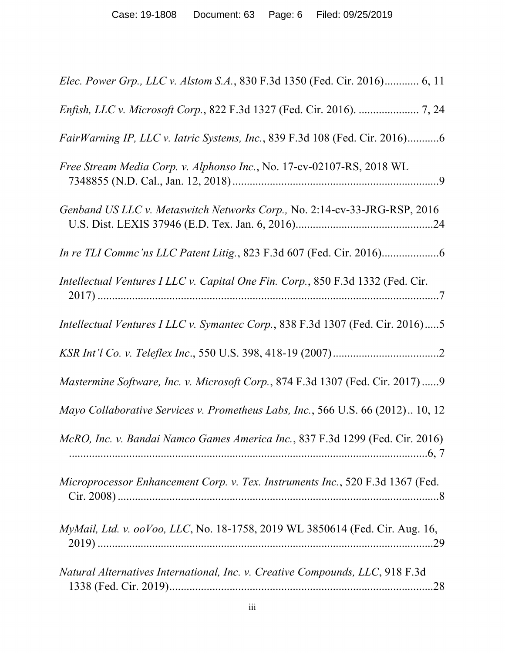| Elec. Power Grp., LLC v. Alstom S.A., 830 F.3d 1350 (Fed. Cir. 2016) 6, 11      |
|---------------------------------------------------------------------------------|
|                                                                                 |
| FairWarning IP, LLC v. Iatric Systems, Inc., 839 F.3d 108 (Fed. Cir. 2016)6     |
| Free Stream Media Corp. v. Alphonso Inc., No. 17-cv-02107-RS, 2018 WL           |
| Genband US LLC v. Metaswitch Networks Corp., No. 2:14-cv-33-JRG-RSP, 2016       |
|                                                                                 |
| Intellectual Ventures I LLC v. Capital One Fin. Corp., 850 F.3d 1332 (Fed. Cir. |
| Intellectual Ventures I LLC v. Symantec Corp., 838 F.3d 1307 (Fed. Cir. 2016)5  |
|                                                                                 |
|                                                                                 |
| Mastermine Software, Inc. v. Microsoft Corp., 874 F.3d 1307 (Fed. Cir. 2017)9   |
| Mayo Collaborative Services v. Prometheus Labs, Inc., 566 U.S. 66 (2012) 10, 12 |
| McRO, Inc. v. Bandai Namco Games America Inc., 837 F.3d 1299 (Fed. Cir. 2016)   |
| Microprocessor Enhancement Corp. v. Tex. Instruments Inc., 520 F.3d 1367 (Fed.  |
| MyMail, Ltd. v. ooVoo, LLC, No. 18-1758, 2019 WL 3850614 (Fed. Cir. Aug. 16,    |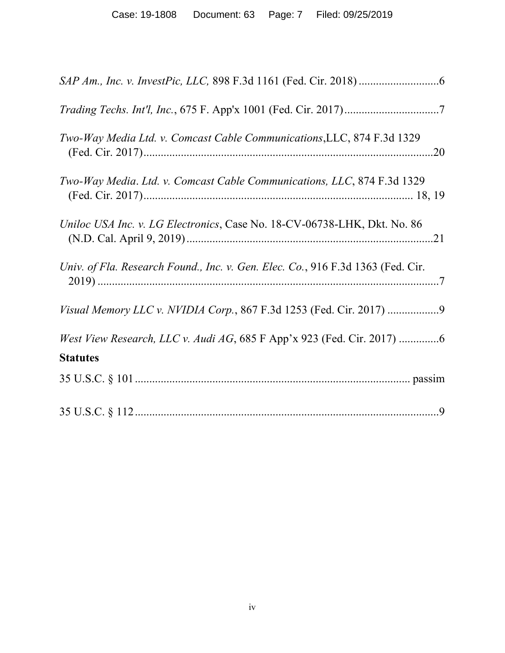| Two-Way Media Ltd. v. Comcast Cable Communications, LLC, 874 F.3d 1329                    |
|-------------------------------------------------------------------------------------------|
| Two-Way Media. Ltd. v. Comcast Cable Communications, LLC, 874 F.3d 1329                   |
| Uniloc USA Inc. v. LG Electronics, Case No. 18-CV-06738-LHK, Dkt. No. 86                  |
| Univ. of Fla. Research Found., Inc. v. Gen. Elec. Co., 916 F.3d 1363 (Fed. Cir.           |
| Visual Memory LLC v. NVIDIA Corp., 867 F.3d 1253 (Fed. Cir. 2017)                         |
| West View Research, LLC v. Audi AG, 685 F App'x 923 (Fed. Cir. 2017) 6<br><b>Statutes</b> |
|                                                                                           |
|                                                                                           |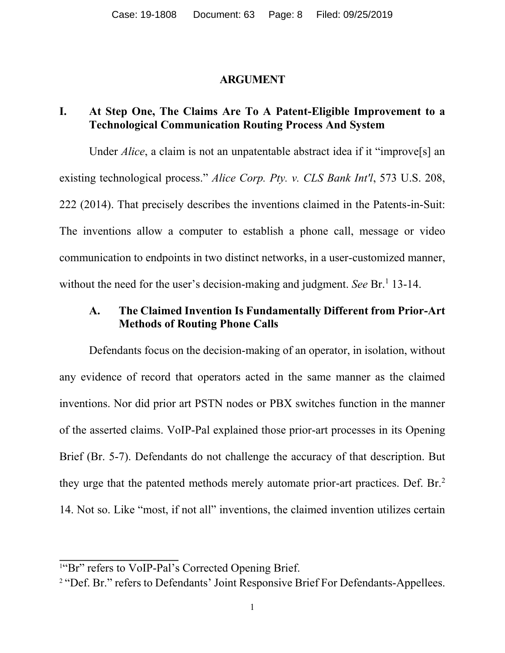#### **ARGUMENT**

## **I. At Step One, The Claims Are To A Patent-Eligible Improvement to a Technological Communication Routing Process And System**

Under *Alice*, a claim is not an unpatentable abstract idea if it "improve<sup>[5]</sup> an existing technological process." *Alice Corp. Pty. v. CLS Bank Int'l*, 573 U.S. 208, 222 (2014). That precisely describes the inventions claimed in the Patents-in-Suit: The inventions allow a computer to establish a phone call, message or video communication to endpoints in two distinct networks, in a user-customized manner, without the need for the user's decision-making and judgment. *See* Br.<sup>1</sup> 13-14.

## **A. The Claimed Invention Is Fundamentally Different from Prior-Art Methods of Routing Phone Calls**

Defendants focus on the decision-making of an operator, in isolation, without any evidence of record that operators acted in the same manner as the claimed inventions. Nor did prior art PSTN nodes or PBX switches function in the manner of the asserted claims. VoIP-Pal explained those prior-art processes in its Opening Brief (Br. 5-7). Defendants do not challenge the accuracy of that description. But they urge that the patented methods merely automate prior-art practices. Def. Br.<sup>2</sup> 14. Not so. Like "most, if not all" inventions, the claimed invention utilizes certain

<sup>&</sup>lt;sup>1"</sup>Br" refers to VoIP-Pal's Corrected Opening Brief.

<sup>&</sup>lt;sup>2</sup> "Def. Br." refers to Defendants' Joint Responsive Brief For Defendants-Appellees.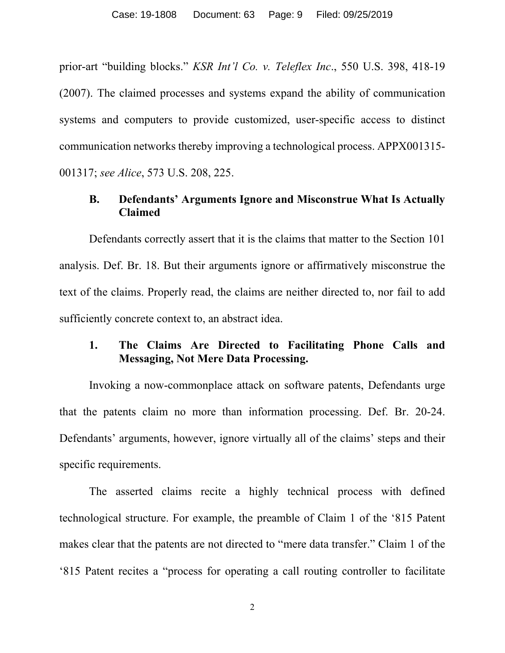prior-art "building blocks." *KSR Int'l Co. v. Teleflex Inc*., 550 U.S. 398, 418-19 (2007). The claimed processes and systems expand the ability of communication systems and computers to provide customized, user-specific access to distinct communication networks thereby improving a technological process. APPX001315- 001317; *see Alice*, 573 U.S. 208, 225.

## **B. Defendants' Arguments Ignore and Misconstrue What Is Actually Claimed**

Defendants correctly assert that it is the claims that matter to the Section 101 analysis. Def. Br. 18. But their arguments ignore or affirmatively misconstrue the text of the claims. Properly read, the claims are neither directed to, nor fail to add sufficiently concrete context to, an abstract idea.

## **1. The Claims Are Directed to Facilitating Phone Calls and Messaging, Not Mere Data Processing.**

Invoking a now-commonplace attack on software patents, Defendants urge that the patents claim no more than information processing. Def. Br. 20-24. Defendants' arguments, however, ignore virtually all of the claims' steps and their specific requirements.

The asserted claims recite a highly technical process with defined technological structure. For example, the preamble of Claim 1 of the '815 Patent makes clear that the patents are not directed to "mere data transfer." Claim 1 of the '815 Patent recites a "process for operating a call routing controller to facilitate

2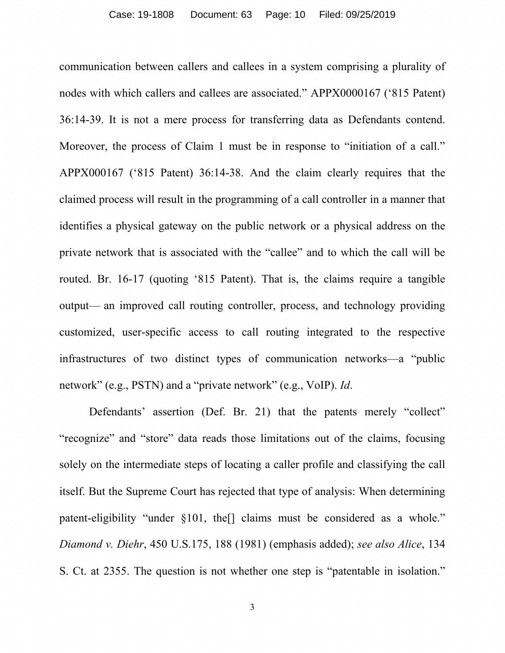communication between callers and callees in a system comprising a plurality of nodes with which callers and callees are associated." APPX0000167 ('815 Patent) 36:14-39. It is not a mere process for transferring data as Defendants contend. Moreover, the process of Claim 1 must be in response to "initiation of a call." APPX000167 ('815 Patent) 36:14-38. And the claim clearly requires that the claimed process will result in the programming of a call controller in a manner that identifies a physical gateway on the public network or a physical address on the private network that is associated with the "callee" and to which the call will be routed. Br. 16-17 (quoting '815 Patent). That is, the claims require a tangible output— an improved call routing controller, process, and technology providing customized, user-specific access to call routing integrated to the respective infrastructures of two distinct types of communication networks—a "public network" (e.g., PSTN) and a "private network" (e.g., VoIP). *Id*.

Defendants' assertion (Def. Br. 21) that the patents merely "collect" "recognize" and "store" data reads those limitations out of the claims, focusing solely on the intermediate steps of locating a caller profile and classifying the call itself. But the Supreme Court has rejected that type of analysis: When determining patent-eligibility "under §101, the[] claims must be considered as a whole." *Diamond v. Diehr*, 450 U.S.175, 188 (1981) (emphasis added); *see also Alice*, 134 S. Ct. at 2355. The question is not whether one step is "patentable in isolation."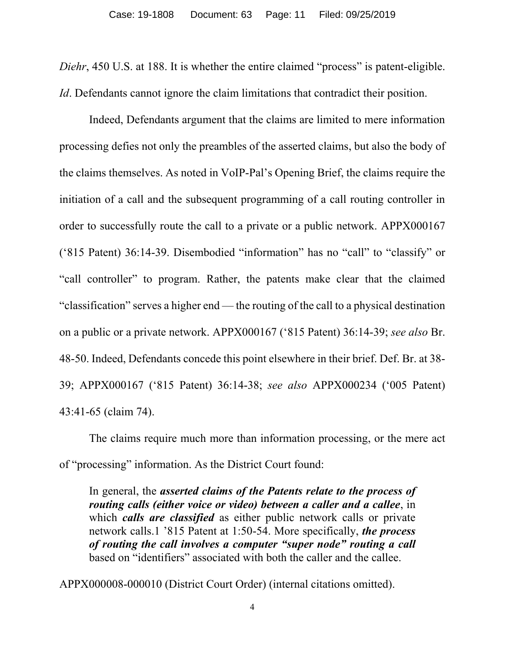*Diehr*, 450 U.S. at 188. It is whether the entire claimed "process" is patent-eligible. *Id*. Defendants cannot ignore the claim limitations that contradict their position.

Indeed, Defendants argument that the claims are limited to mere information processing defies not only the preambles of the asserted claims, but also the body of the claims themselves. As noted in VoIP-Pal's Opening Brief, the claims require the initiation of a call and the subsequent programming of a call routing controller in order to successfully route the call to a private or a public network. APPX000167 ('815 Patent) 36:14-39. Disembodied "information" has no "call" to "classify" or "call controller" to program. Rather, the patents make clear that the claimed "classification" serves a higher end — the routing of the call to a physical destination on a public or a private network. APPX000167 ('815 Patent) 36:14-39; *see also* Br. 48-50. Indeed, Defendants concede this point elsewhere in their brief. Def. Br. at 38- 39; APPX000167 ('815 Patent) 36:14-38; *see also* APPX000234 ('005 Patent) 43:41-65 (claim 74).

The claims require much more than information processing, or the mere act of "processing" information. As the District Court found:

In general, the *asserted claims of the Patents relate to the process of routing calls (either voice or video) between a caller and a callee*, in which *calls are classified* as either public network calls or private network calls.1 '815 Patent at 1:50-54. More specifically, *the process of routing the call involves a computer "super node" routing a call* based on "identifiers" associated with both the caller and the callee.

APPX000008-000010 (District Court Order) (internal citations omitted).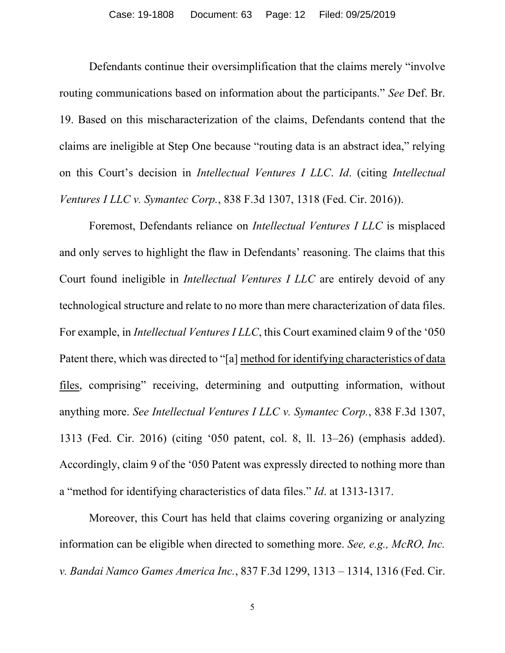Defendants continue their oversimplification that the claims merely "involve routing communications based on information about the participants." *See* Def. Br. 19. Based on this mischaracterization of the claims, Defendants contend that the claims are ineligible at Step One because "routing data is an abstract idea," relying on this Court's decision in *Intellectual Ventures I LLC*. *Id*. (citing *Intellectual Ventures I LLC v. Symantec Corp.*, 838 F.3d 1307, 1318 (Fed. Cir. 2016)).

Foremost, Defendants reliance on *Intellectual Ventures I LLC* is misplaced and only serves to highlight the flaw in Defendants' reasoning. The claims that this Court found ineligible in *Intellectual Ventures I LLC* are entirely devoid of any technological structure and relate to no more than mere characterization of data files. For example, in *Intellectual Ventures I LLC*, this Court examined claim 9 of the '050 Patent there, which was directed to "[a] method for identifying characteristics of data files, comprising" receiving, determining and outputting information, without anything more. *See Intellectual Ventures I LLC v. Symantec Corp.*, 838 F.3d 1307, 1313 (Fed. Cir. 2016) (citing '050 patent, col. 8, ll. 13–26) (emphasis added). Accordingly, claim 9 of the '050 Patent was expressly directed to nothing more than a "method for identifying characteristics of data files." *Id*. at 1313-1317.

Moreover, this Court has held that claims covering organizing or analyzing information can be eligible when directed to something more. *See, e.g., McRO, Inc. v. Bandai Namco Games America Inc.*, 837 F.3d 1299, 1313 – 1314, 1316 (Fed. Cir.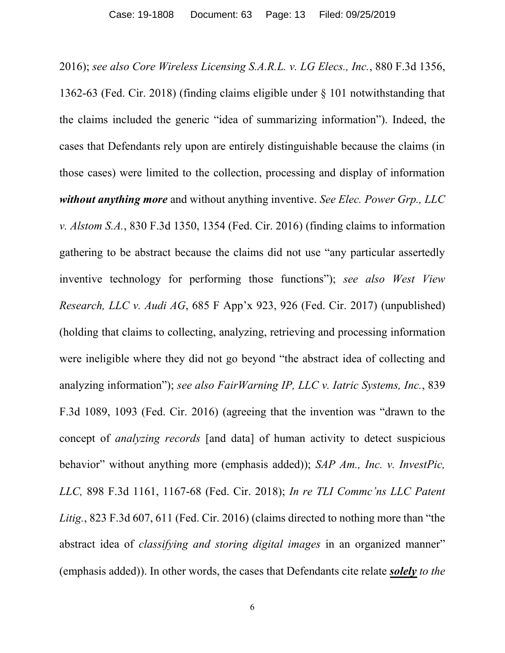2016); *see also Core Wireless Licensing S.A.R.L. v. LG Elecs., Inc.*, 880 F.3d 1356, 1362-63 (Fed. Cir. 2018) (finding claims eligible under § 101 notwithstanding that the claims included the generic "idea of summarizing information"). Indeed, the cases that Defendants rely upon are entirely distinguishable because the claims (in those cases) were limited to the collection, processing and display of information *without anything more* and without anything inventive. *See Elec. Power Grp., LLC v. Alstom S.A.*, 830 F.3d 1350, 1354 (Fed. Cir. 2016) (finding claims to information gathering to be abstract because the claims did not use "any particular assertedly inventive technology for performing those functions"); *see also West View Research, LLC v. Audi AG*, 685 F App'x 923, 926 (Fed. Cir. 2017) (unpublished) (holding that claims to collecting, analyzing, retrieving and processing information were ineligible where they did not go beyond "the abstract idea of collecting and analyzing information"); *see also FairWarning IP, LLC v. Iatric Systems, Inc.*, 839 F.3d 1089, 1093 (Fed. Cir. 2016) (agreeing that the invention was "drawn to the concept of *analyzing records* [and data] of human activity to detect suspicious behavior" without anything more (emphasis added)); *SAP Am., Inc. v. InvestPic, LLC,* 898 F.3d 1161, 1167-68 (Fed. Cir. 2018); *In re TLI Commc'ns LLC Patent Litig.*, 823 F.3d 607, 611 (Fed. Cir. 2016) (claims directed to nothing more than "the abstract idea of *classifying and storing digital images* in an organized manner" (emphasis added)). In other words, the cases that Defendants cite relate *solely to the*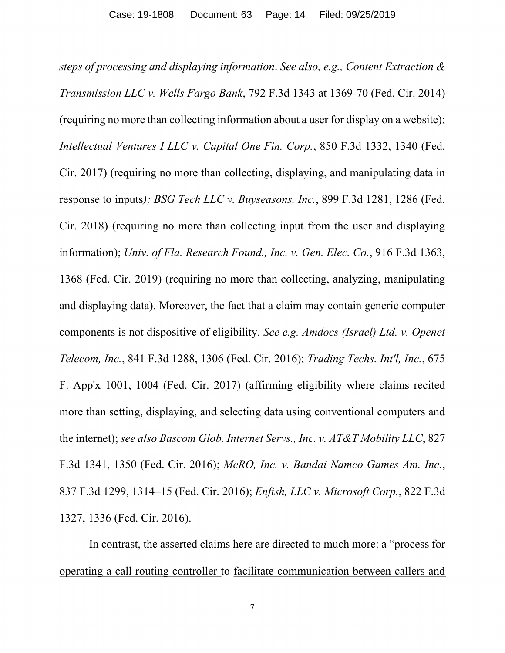*steps of processing and displaying information*. *See also, e.g., Content Extraction & Transmission LLC v. Wells Fargo Bank*, 792 F.3d 1343 at 1369-70 (Fed. Cir. 2014) (requiring no more than collecting information about a user for display on a website); *Intellectual Ventures I LLC v. Capital One Fin. Corp.*, 850 F.3d 1332, 1340 (Fed. Cir. 2017) (requiring no more than collecting, displaying, and manipulating data in response to inputs*); BSG Tech LLC v. Buyseasons, Inc.*, 899 F.3d 1281, 1286 (Fed. Cir. 2018) (requiring no more than collecting input from the user and displaying information); *Univ. of Fla. Research Found., Inc. v. Gen. Elec. Co.*, 916 F.3d 1363, 1368 (Fed. Cir. 2019) (requiring no more than collecting, analyzing, manipulating and displaying data). Moreover, the fact that a claim may contain generic computer components is not dispositive of eligibility. *See e.g. Amdocs (Israel) Ltd. v. Openet Telecom, Inc.*, 841 F.3d 1288, 1306 (Fed. Cir. 2016); *Trading Techs. Int'l, Inc.*, 675 F. App'x 1001, 1004 (Fed. Cir. 2017) (affirming eligibility where claims recited more than setting, displaying, and selecting data using conventional computers and the internet); *see also Bascom Glob. Internet Servs., Inc. v. AT&T Mobility LLC*, 827 F.3d 1341, 1350 (Fed. Cir. 2016); *McRO, Inc. v. Bandai Namco Games Am. Inc.*, 837 F.3d 1299, 1314–15 (Fed. Cir. 2016); *Enfish, LLC v. Microsoft Corp.*, 822 F.3d 1327, 1336 (Fed. Cir. 2016).

In contrast, the asserted claims here are directed to much more: a "process for operating a call routing controller to facilitate communication between callers and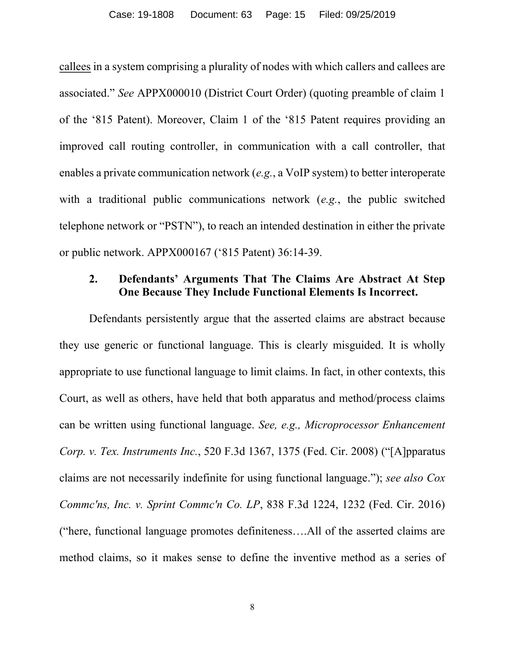callees in a system comprising a plurality of nodes with which callers and callees are associated." *See* APPX000010 (District Court Order) (quoting preamble of claim 1 of the '815 Patent). Moreover, Claim 1 of the '815 Patent requires providing an improved call routing controller, in communication with a call controller, that enables a private communication network (*e.g.*, a VoIP system) to better interoperate with a traditional public communications network (*e.g.*, the public switched telephone network or "PSTN"), to reach an intended destination in either the private or public network. APPX000167 ('815 Patent) 36:14-39.

## **2. Defendants' Arguments That The Claims Are Abstract At Step One Because They Include Functional Elements Is Incorrect.**

Defendants persistently argue that the asserted claims are abstract because they use generic or functional language. This is clearly misguided. It is wholly appropriate to use functional language to limit claims. In fact, in other contexts, this Court, as well as others, have held that both apparatus and method/process claims can be written using functional language. *See, e.g., Microprocessor Enhancement Corp. v. Tex. Instruments Inc.*, 520 F.3d 1367, 1375 (Fed. Cir. 2008) ("[A]pparatus claims are not necessarily indefinite for using functional language."); *see also Cox Commc'ns, Inc. v. Sprint Commc'n Co. LP*, 838 F.3d 1224, 1232 (Fed. Cir. 2016) ("here, functional language promotes definiteness….All of the asserted claims are method claims, so it makes sense to define the inventive method as a series of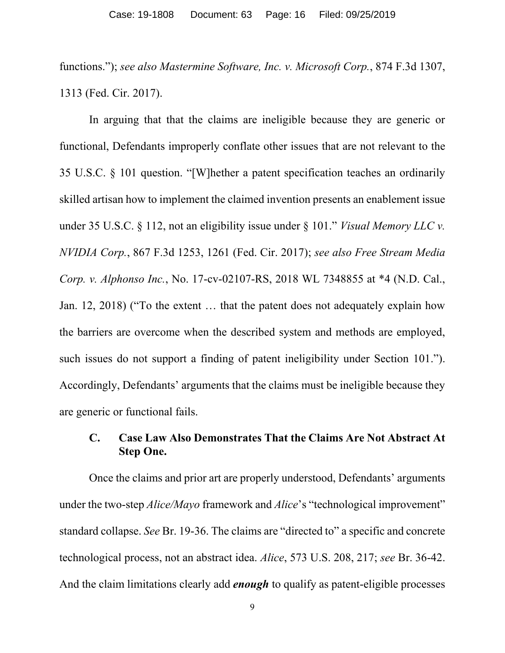functions."); *see also Mastermine Software, Inc. v. Microsoft Corp.*, 874 F.3d 1307, 1313 (Fed. Cir. 2017).

In arguing that that the claims are ineligible because they are generic or functional, Defendants improperly conflate other issues that are not relevant to the 35 U.S.C. § 101 question. "[W]hether a patent specification teaches an ordinarily skilled artisan how to implement the claimed invention presents an enablement issue under 35 U.S.C. § 112, not an eligibility issue under § 101." *Visual Memory LLC v. NVIDIA Corp.*, 867 F.3d 1253, 1261 (Fed. Cir. 2017); *see also Free Stream Media Corp. v. Alphonso Inc.*, No. 17-cv-02107-RS, 2018 WL 7348855 at \*4 (N.D. Cal., Jan. 12, 2018) ("To the extent … that the patent does not adequately explain how the barriers are overcome when the described system and methods are employed, such issues do not support a finding of patent ineligibility under Section 101."). Accordingly, Defendants' arguments that the claims must be ineligible because they are generic or functional fails.

## **C. Case Law Also Demonstrates That the Claims Are Not Abstract At Step One.**

Once the claims and prior art are properly understood, Defendants' arguments under the two-step *Alice/Mayo* framework and *Alice*'s "technological improvement" standard collapse. *See* Br. 19-36. The claims are "directed to" a specific and concrete technological process, not an abstract idea. *Alice*, 573 U.S. 208, 217; *see* Br. 36-42. And the claim limitations clearly add *enough* to qualify as patent-eligible processes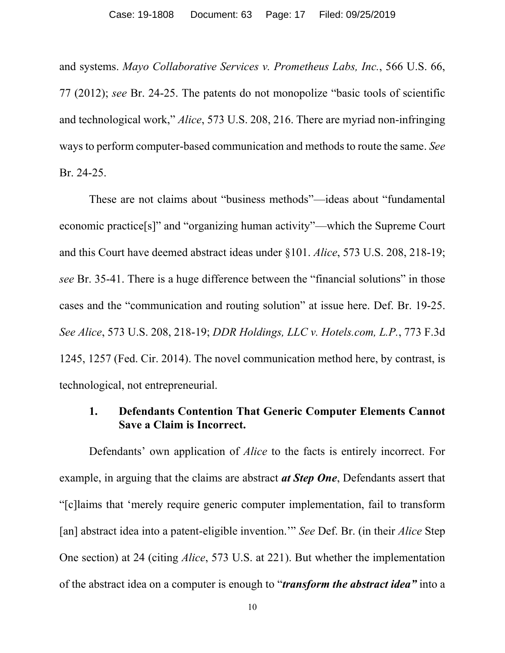and systems. *Mayo Collaborative Services v. Prometheus Labs, Inc.*, 566 U.S. 66, 77 (2012); *see* Br. 24-25. The patents do not monopolize "basic tools of scientific and technological work," *Alice*, 573 U.S. 208, 216. There are myriad non-infringing ways to perform computer-based communication and methods to route the same. *See*  Br. 24-25.

These are not claims about "business methods"—ideas about "fundamental economic practice[s]" and "organizing human activity"—which the Supreme Court and this Court have deemed abstract ideas under §101. *Alice*, 573 U.S. 208, 218-19; *see* Br. 35-41. There is a huge difference between the "financial solutions" in those cases and the "communication and routing solution" at issue here. Def. Br. 19-25. *See Alice*, 573 U.S. 208, 218-19; *DDR Holdings, LLC v. Hotels.com, L.P.*, 773 F.3d 1245, 1257 (Fed. Cir. 2014). The novel communication method here, by contrast, is technological, not entrepreneurial.

## **1. Defendants Contention That Generic Computer Elements Cannot Save a Claim is Incorrect.**

Defendants' own application of *Alice* to the facts is entirely incorrect. For example, in arguing that the claims are abstract *at Step One*, Defendants assert that "[c]laims that 'merely require generic computer implementation, fail to transform [an] abstract idea into a patent-eligible invention.'" *See* Def. Br. (in their *Alice* Step One section) at 24 (citing *Alice*, 573 U.S. at 221). But whether the implementation of the abstract idea on a computer is enough to "*transform the abstract idea"* into a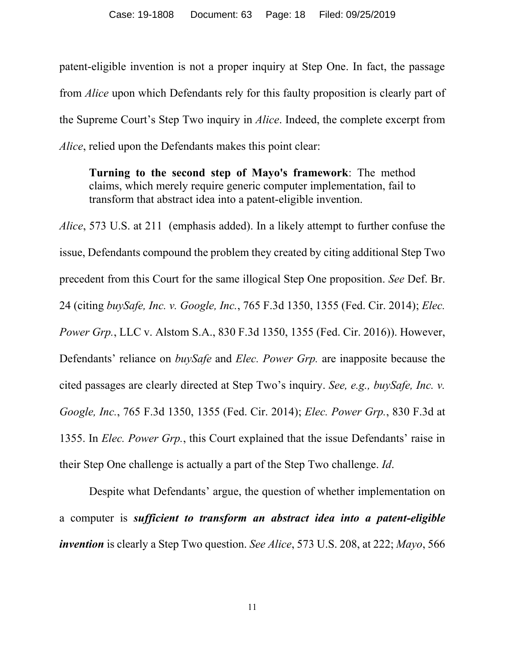patent-eligible invention is not a proper inquiry at Step One. In fact, the passage from *Alice* upon which Defendants rely for this faulty proposition is clearly part of the Supreme Court's Step Two inquiry in *Alice*. Indeed, the complete excerpt from *Alice*, relied upon the Defendants makes this point clear:

**Turning to the second step of Mayo's framework**: The method claims, which merely require generic computer implementation, fail to transform that abstract idea into a patent-eligible invention.

*Alice*, 573 U.S. at 211 (emphasis added). In a likely attempt to further confuse the issue, Defendants compound the problem they created by citing additional Step Two precedent from this Court for the same illogical Step One proposition. *See* Def. Br. 24 (citing *buySafe, Inc. v. Google, Inc.*, 765 F.3d 1350, 1355 (Fed. Cir. 2014); *Elec. Power Grp.*, LLC v. Alstom S.A., 830 F.3d 1350, 1355 (Fed. Cir. 2016)). However, Defendants' reliance on *buySafe* and *Elec. Power Grp.* are inapposite because the cited passages are clearly directed at Step Two's inquiry. *See, e.g., buySafe, Inc. v. Google, Inc.*, 765 F.3d 1350, 1355 (Fed. Cir. 2014); *Elec. Power Grp.*, 830 F.3d at 1355. In *Elec. Power Grp.*, this Court explained that the issue Defendants' raise in their Step One challenge is actually a part of the Step Two challenge. *Id*.

Despite what Defendants' argue, the question of whether implementation on a computer is *sufficient to transform an abstract idea into a patent-eligible invention* is clearly a Step Two question. *See Alice*, 573 U.S. 208, at 222; *Mayo*, 566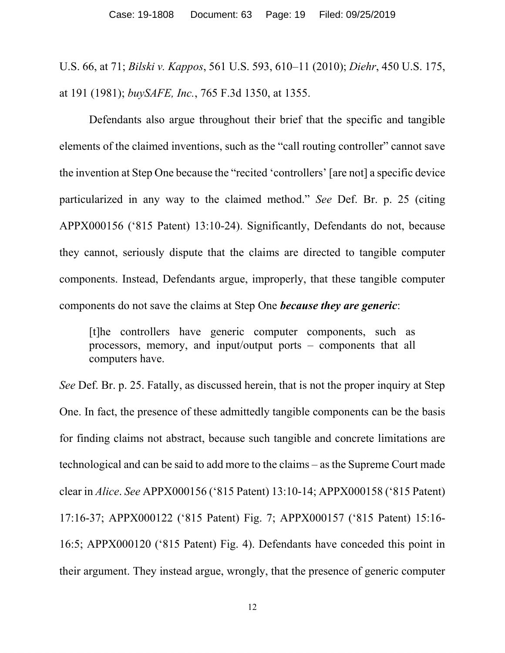U.S. 66, at 71; *Bilski v. Kappos*, 561 U.S. 593, 610–11 (2010); *Diehr*, 450 U.S. 175, at 191 (1981); *buySAFE, Inc.*, 765 F.3d 1350, at 1355.

Defendants also argue throughout their brief that the specific and tangible elements of the claimed inventions, such as the "call routing controller" cannot save the invention at Step One because the "recited 'controllers' [are not] a specific device particularized in any way to the claimed method." *See* Def. Br. p. 25 (citing APPX000156 ('815 Patent) 13:10-24). Significantly, Defendants do not, because they cannot, seriously dispute that the claims are directed to tangible computer components. Instead, Defendants argue, improperly, that these tangible computer components do not save the claims at Step One *because they are generic*:

[t]he controllers have generic computer components, such as processors, memory, and input/output ports – components that all computers have.

*See* Def. Br. p. 25. Fatally, as discussed herein, that is not the proper inquiry at Step One. In fact, the presence of these admittedly tangible components can be the basis for finding claims not abstract, because such tangible and concrete limitations are technological and can be said to add more to the claims – as the Supreme Court made clear in *Alice*. *See* APPX000156 ('815 Patent) 13:10-14; APPX000158 ('815 Patent) 17:16-37; APPX000122 ('815 Patent) Fig. 7; APPX000157 ('815 Patent) 15:16- 16:5; APPX000120 ('815 Patent) Fig. 4). Defendants have conceded this point in their argument. They instead argue, wrongly, that the presence of generic computer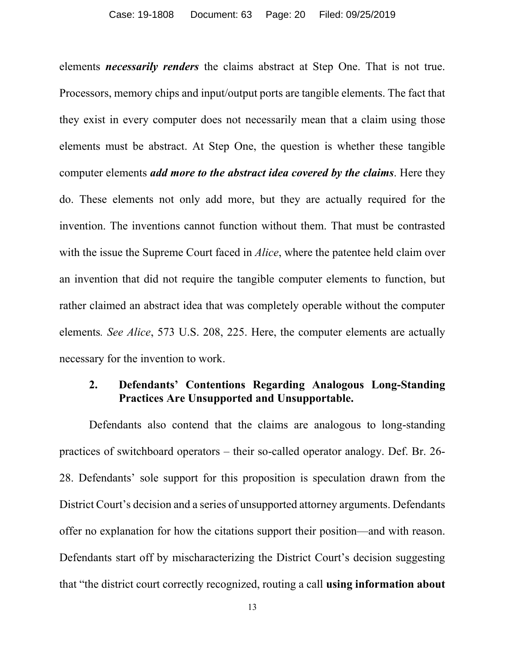elements *necessarily renders* the claims abstract at Step One. That is not true. Processors, memory chips and input/output ports are tangible elements. The fact that they exist in every computer does not necessarily mean that a claim using those elements must be abstract. At Step One, the question is whether these tangible computer elements *add more to the abstract idea covered by the claims*. Here they do. These elements not only add more, but they are actually required for the invention. The inventions cannot function without them. That must be contrasted with the issue the Supreme Court faced in *Alice*, where the patentee held claim over an invention that did not require the tangible computer elements to function, but rather claimed an abstract idea that was completely operable without the computer elements*. See Alice*, 573 U.S. 208, 225. Here, the computer elements are actually necessary for the invention to work.

## **2. Defendants' Contentions Regarding Analogous Long-Standing Practices Are Unsupported and Unsupportable.**

Defendants also contend that the claims are analogous to long-standing practices of switchboard operators – their so-called operator analogy. Def. Br. 26- 28. Defendants' sole support for this proposition is speculation drawn from the District Court's decision and a series of unsupported attorney arguments. Defendants offer no explanation for how the citations support their position—and with reason. Defendants start off by mischaracterizing the District Court's decision suggesting that "the district court correctly recognized, routing a call **using information about**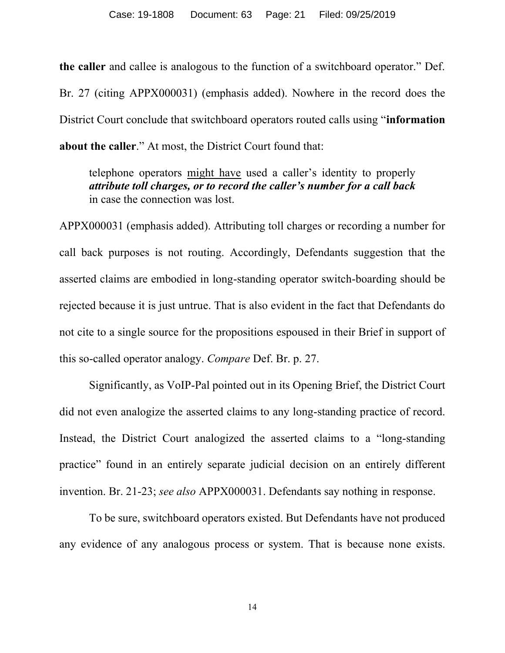**the caller** and callee is analogous to the function of a switchboard operator." Def. Br. 27 (citing APPX000031) (emphasis added). Nowhere in the record does the District Court conclude that switchboard operators routed calls using "**information about the caller**." At most, the District Court found that:

telephone operators might have used a caller's identity to properly *attribute toll charges, or to record the caller's number for a call back* in case the connection was lost.

APPX000031 (emphasis added). Attributing toll charges or recording a number for call back purposes is not routing. Accordingly, Defendants suggestion that the asserted claims are embodied in long-standing operator switch-boarding should be rejected because it is just untrue. That is also evident in the fact that Defendants do not cite to a single source for the propositions espoused in their Brief in support of this so-called operator analogy. *Compare* Def. Br. p. 27.

Significantly, as VoIP-Pal pointed out in its Opening Brief, the District Court did not even analogize the asserted claims to any long-standing practice of record. Instead, the District Court analogized the asserted claims to a "long-standing practice" found in an entirely separate judicial decision on an entirely different invention. Br. 21-23; *see also* APPX000031. Defendants say nothing in response.

To be sure, switchboard operators existed. But Defendants have not produced any evidence of any analogous process or system. That is because none exists.

14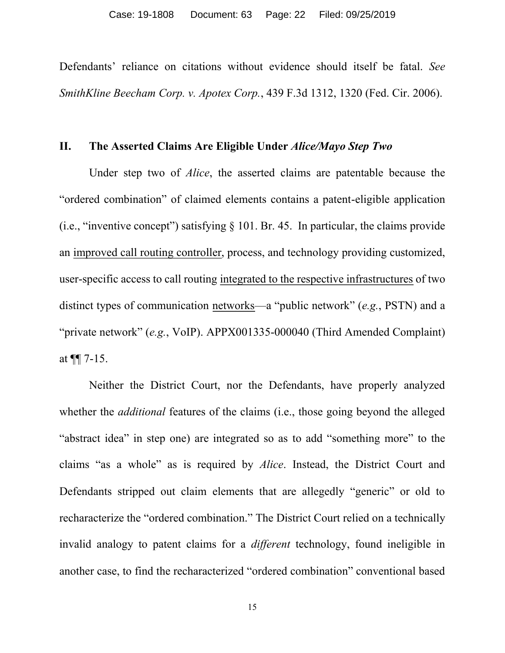Defendants' reliance on citations without evidence should itself be fatal. *See SmithKline Beecham Corp. v. Apotex Corp.*, 439 F.3d 1312, 1320 (Fed. Cir. 2006).

#### **II. The Asserted Claims Are Eligible Under** *Alice/Mayo Step Two*

Under step two of *Alice*, the asserted claims are patentable because the "ordered combination" of claimed elements contains a patent-eligible application (i.e., "inventive concept") satisfying § 101. Br. 45. In particular, the claims provide an improved call routing controller, process, and technology providing customized, user-specific access to call routing integrated to the respective infrastructures of two distinct types of communication networks—a "public network" (*e.g.*, PSTN) and a "private network" (*e.g.*, VoIP). APPX001335-000040 (Third Amended Complaint) at  $\P$ [ 7-15.

Neither the District Court, nor the Defendants, have properly analyzed whether the *additional* features of the claims (i.e., those going beyond the alleged "abstract idea" in step one) are integrated so as to add "something more" to the claims "as a whole" as is required by *Alice*. Instead, the District Court and Defendants stripped out claim elements that are allegedly "generic" or old to recharacterize the "ordered combination." The District Court relied on a technically invalid analogy to patent claims for a *different* technology, found ineligible in another case, to find the recharacterized "ordered combination" conventional based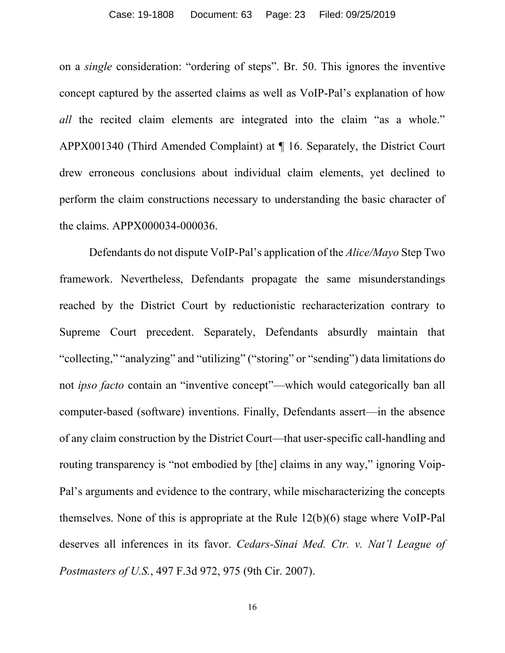#### Case: 19-1808 Document: 63 Page: 23 Filed: 09/25/2019

on a *single* consideration: "ordering of steps". Br. 50. This ignores the inventive concept captured by the asserted claims as well as VoIP-Pal's explanation of how *all* the recited claim elements are integrated into the claim "as a whole." APPX001340 (Third Amended Complaint) at ¶ 16. Separately, the District Court drew erroneous conclusions about individual claim elements, yet declined to perform the claim constructions necessary to understanding the basic character of the claims. APPX000034-000036.

Defendants do not dispute VoIP-Pal's application of the *Alice/Mayo* Step Two framework. Nevertheless, Defendants propagate the same misunderstandings reached by the District Court by reductionistic recharacterization contrary to Supreme Court precedent. Separately, Defendants absurdly maintain that "collecting," "analyzing" and "utilizing" ("storing" or "sending") data limitations do not *ipso facto* contain an "inventive concept"—which would categorically ban all computer-based (software) inventions. Finally, Defendants assert—in the absence of any claim construction by the District Court—that user-specific call-handling and routing transparency is "not embodied by [the] claims in any way," ignoring Voip-Pal's arguments and evidence to the contrary, while mischaracterizing the concepts themselves. None of this is appropriate at the Rule 12(b)(6) stage where VoIP-Pal deserves all inferences in its favor. *Cedars-Sinai Med. Ctr. v. Nat'l League of Postmasters of U.S.*, 497 F.3d 972, 975 (9th Cir. 2007).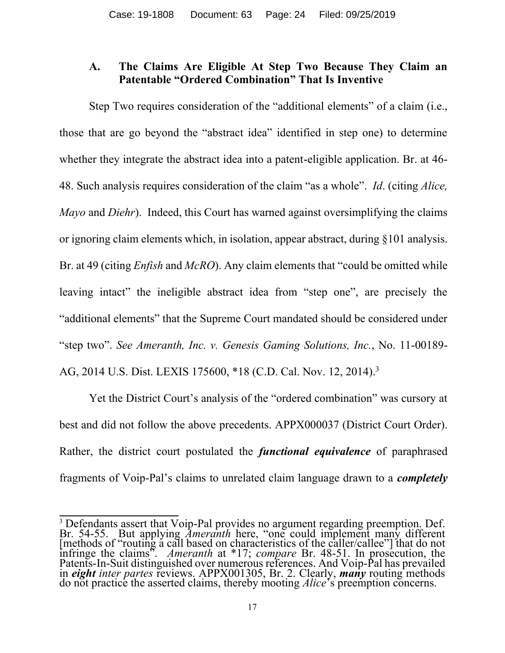## **A. The Claims Are Eligible At Step Two Because They Claim an Patentable "Ordered Combination" That Is Inventive**

Step Two requires consideration of the "additional elements" of a claim (i.e., those that are go beyond the "abstract idea" identified in step one) to determine whether they integrate the abstract idea into a patent-eligible application. Br. at 46- 48. Such analysis requires consideration of the claim "as a whole". *Id*. (citing *Alice, Mayo* and *Diehr*). Indeed, this Court has warned against oversimplifying the claims or ignoring claim elements which, in isolation, appear abstract, during §101 analysis. Br. at 49 (citing *Enfish* and *McRO*). Any claim elements that "could be omitted while leaving intact" the ineligible abstract idea from "step one", are precisely the "additional elements" that the Supreme Court mandated should be considered under "step two". *See Ameranth, Inc. v. Genesis Gaming Solutions, Inc.*, No. 11-00189- AG, 2014 U.S. Dist. LEXIS 175600, \*18 (C.D. Cal. Nov. 12, 2014). 3

Yet the District Court's analysis of the "ordered combination" was cursory at best and did not follow the above precedents. APPX000037 (District Court Order). Rather, the district court postulated the *functional equivalence* of paraphrased fragments of Voip-Pal's claims to unrelated claim language drawn to a *completely* 

<sup>&</sup>lt;sup>3</sup> Defendants assert that Voip-Pal provides no argument regarding preemption. Def. Br. 54-55. But applying *Ameranth* here, "one could implement many different [methods of "routing a call based on characteristics of the caller/callee"] that do not infringe the claims". *Ameranth* at \*17; *compare* Br. 48-51. In prosecution, the Patents-In-Suit distinguished over numerous references. And Voip-Pal has prevailed in *eight inter partes* reviews. APPX001305, Br. 2. Clearly, *many* routing methods do not practice the asserted claims, thereby mooting *Alice*'s preemption concerns.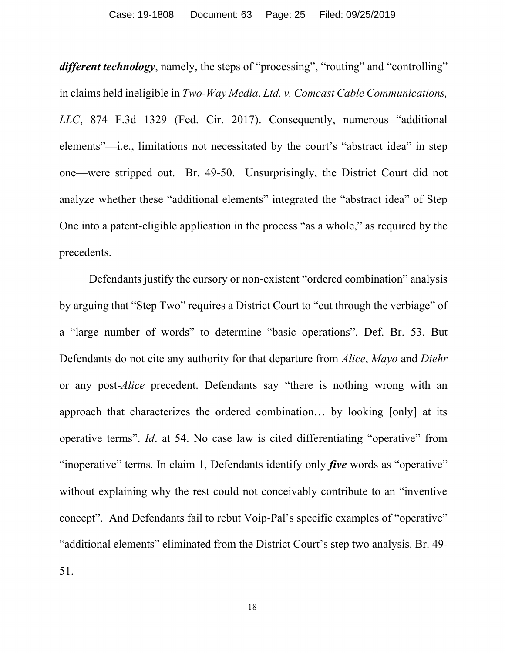*different technology*, namely, the steps of "processing", "routing" and "controlling" in claims held ineligible in *Two-Way Media*. *Ltd. v. Comcast Cable Communications, LLC*, 874 F.3d 1329 (Fed. Cir. 2017). Consequently, numerous "additional elements"—i.e., limitations not necessitated by the court's "abstract idea" in step one—were stripped out. Br. 49-50. Unsurprisingly, the District Court did not analyze whether these "additional elements" integrated the "abstract idea" of Step One into a patent-eligible application in the process "as a whole," as required by the precedents.

Defendants justify the cursory or non-existent "ordered combination" analysis by arguing that "Step Two" requires a District Court to "cut through the verbiage" of a "large number of words" to determine "basic operations". Def. Br. 53. But Defendants do not cite any authority for that departure from *Alice*, *Mayo* and *Diehr* or any post-*Alice* precedent. Defendants say "there is nothing wrong with an approach that characterizes the ordered combination… by looking [only] at its operative terms". *Id*. at 54. No case law is cited differentiating "operative" from "inoperative" terms. In claim 1, Defendants identify only *five* words as "operative" without explaining why the rest could not conceivably contribute to an "inventive concept". And Defendants fail to rebut Voip-Pal's specific examples of "operative" "additional elements" eliminated from the District Court's step two analysis. Br. 49- 51.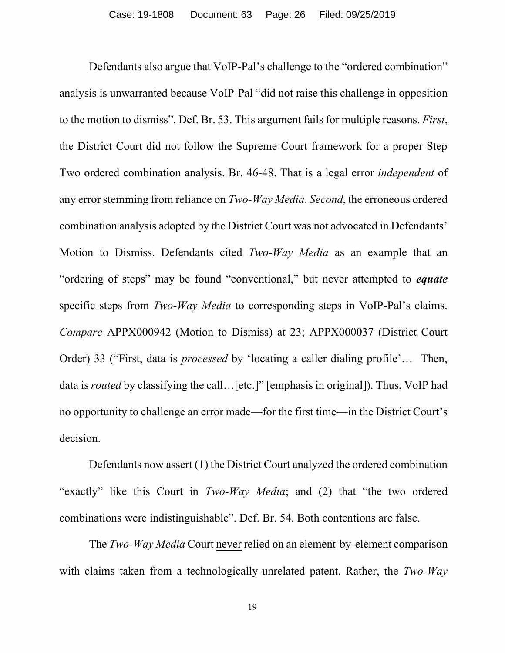Defendants also argue that VoIP-Pal's challenge to the "ordered combination" analysis is unwarranted because VoIP-Pal "did not raise this challenge in opposition to the motion to dismiss". Def. Br. 53. This argument fails for multiple reasons. *First*, the District Court did not follow the Supreme Court framework for a proper Step Two ordered combination analysis. Br. 46-48. That is a legal error *independent* of any error stemming from reliance on *Two-Way Media*. *Second*, the erroneous ordered combination analysis adopted by the District Court was not advocated in Defendants' Motion to Dismiss. Defendants cited *Two-Way Media* as an example that an "ordering of steps" may be found "conventional," but never attempted to *equate* specific steps from *Two-Way Media* to corresponding steps in VoIP-Pal's claims. *Compare* APPX000942 (Motion to Dismiss) at 23; APPX000037 (District Court Order) 33 ("First, data is *processed* by 'locating a caller dialing profile'… Then, data is *routed* by classifying the call... [etc.]" [emphasis in original]). Thus, VoIP had no opportunity to challenge an error made—for the first time—in the District Court's decision.

Defendants now assert (1) the District Court analyzed the ordered combination "exactly" like this Court in *Two-Way Media*; and (2) that "the two ordered combinations were indistinguishable". Def. Br. 54. Both contentions are false.

The *Two-Way Media* Court never relied on an element-by-element comparison with claims taken from a technologically-unrelated patent. Rather, the *Two-Way*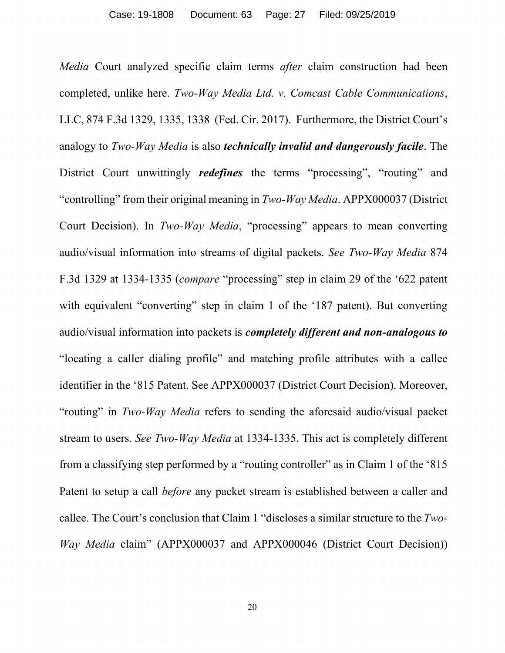*Media* Court analyzed specific claim terms *after* claim construction had been completed, unlike here. *Two-Way Media Ltd. v. Comcast Cable Communications*, LLC, 874 F.3d 1329, 1335, 1338 (Fed. Cir. 2017). Furthermore, the District Court's analogy to *Two-Way Media* is also *technically invalid and dangerously facile*. The District Court unwittingly *redefines* the terms "processing", "routing" and "controlling" from their original meaning in *Two-Way Media*. APPX000037 (District Court Decision). In *Two-Way Media*, "processing" appears to mean converting audio/visual information into streams of digital packets. *See Two-Way Media* 874 F.3d 1329 at 1334-1335 (*compare* "processing" step in claim 29 of the '622 patent with equivalent "converting" step in claim 1 of the '187 patent). But converting audio/visual information into packets is *completely different and non-analogous to* "locating a caller dialing profile" and matching profile attributes with a callee identifier in the '815 Patent. See APPX000037 (District Court Decision). Moreover, "routing" in *Two-Way Media* refers to sending the aforesaid audio/visual packet stream to users. *See Two-Way Media* at 1334-1335. This act is completely different from a classifying step performed by a "routing controller" as in Claim 1 of the '815 Patent to setup a call *before* any packet stream is established between a caller and callee. The Court's conclusion that Claim 1 "discloses a similar structure to the *Two-Way Media* claim" (APPX000037 and APPX000046 (District Court Decision))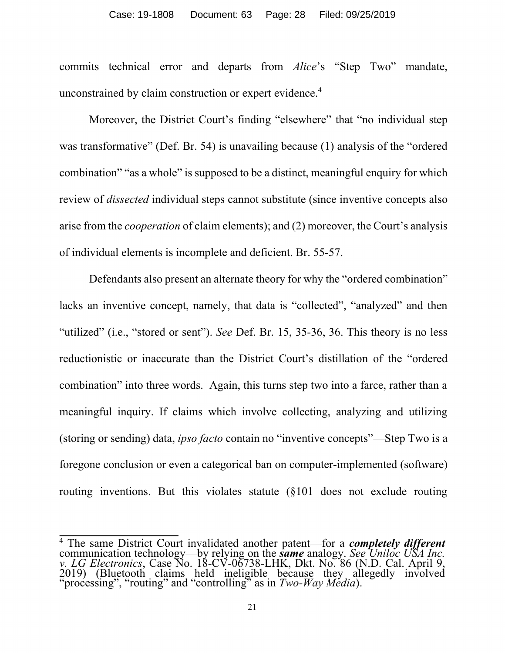#### Case: 19-1808 Document: 63 Page: 28 Filed: 09/25/2019

commits technical error and departs from *Alice*'s "Step Two" mandate, unconstrained by claim construction or expert evidence.<sup>4</sup>

Moreover, the District Court's finding "elsewhere" that "no individual step was transformative" (Def. Br. 54) is unavailing because (1) analysis of the "ordered combination" "as a whole" is supposed to be a distinct, meaningful enquiry for which review of *dissected* individual steps cannot substitute (since inventive concepts also arise from the *cooperation* of claim elements); and (2) moreover, the Court's analysis of individual elements is incomplete and deficient. Br. 55-57.

Defendants also present an alternate theory for why the "ordered combination" lacks an inventive concept, namely, that data is "collected", "analyzed" and then "utilized" (i.e., "stored or sent"). *See* Def. Br. 15, 35-36, 36. This theory is no less reductionistic or inaccurate than the District Court's distillation of the "ordered combination" into three words. Again, this turns step two into a farce, rather than a meaningful inquiry. If claims which involve collecting, analyzing and utilizing (storing or sending) data, *ipso facto* contain no "inventive concepts"—Step Two is a foregone conclusion or even a categorical ban on computer-implemented (software) routing inventions. But this violates statute (§101 does not exclude routing

<sup>4</sup> The same District Court invalidated another patent—for a *completely different* communication technology—by relying on the *same* analogy. *See Uniloc USA Inc. v. LG Electronics*, Case No. 18-CV-06738-LHK, Dkt. No. 86 (N.D. Cal. April 9, 2019) (Bluetooth claims held ineligible because they allegedly involved "processing", "routing" and "controlling" as in *Two-Way Media*).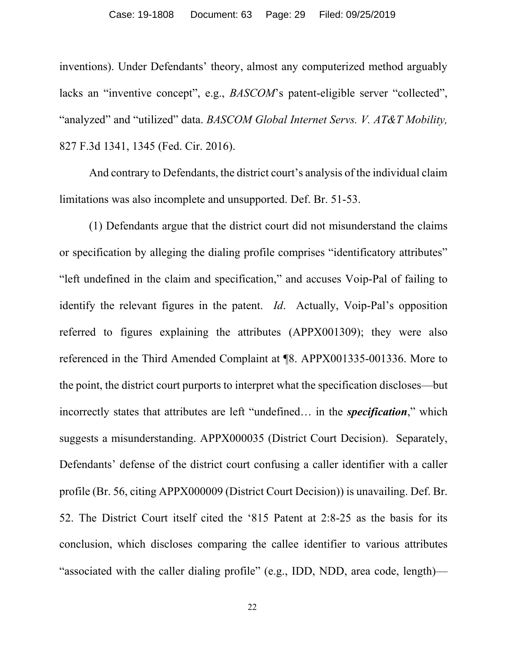inventions). Under Defendants' theory, almost any computerized method arguably lacks an "inventive concept", e.g., *BASCOM*'s patent-eligible server "collected", "analyzed" and "utilized" data. *BASCOM Global Internet Servs. V. AT&T Mobility,*  827 F.3d 1341, 1345 (Fed. Cir. 2016).

And contrary to Defendants, the district court's analysis of the individual claim limitations was also incomplete and unsupported. Def. Br. 51-53.

(1) Defendants argue that the district court did not misunderstand the claims or specification by alleging the dialing profile comprises "identificatory attributes" "left undefined in the claim and specification," and accuses Voip-Pal of failing to identify the relevant figures in the patent. *Id*. Actually, Voip-Pal's opposition referred to figures explaining the attributes (APPX001309); they were also referenced in the Third Amended Complaint at ¶8. APPX001335-001336. More to the point, the district court purports to interpret what the specification discloses—but incorrectly states that attributes are left "undefined… in the *specification*," which suggests a misunderstanding. APPX000035 (District Court Decision). Separately, Defendants' defense of the district court confusing a caller identifier with a caller profile (Br. 56, citing APPX000009 (District Court Decision)) is unavailing. Def. Br. 52. The District Court itself cited the '815 Patent at 2:8-25 as the basis for its conclusion, which discloses comparing the callee identifier to various attributes "associated with the caller dialing profile" (e.g., IDD, NDD, area code, length)—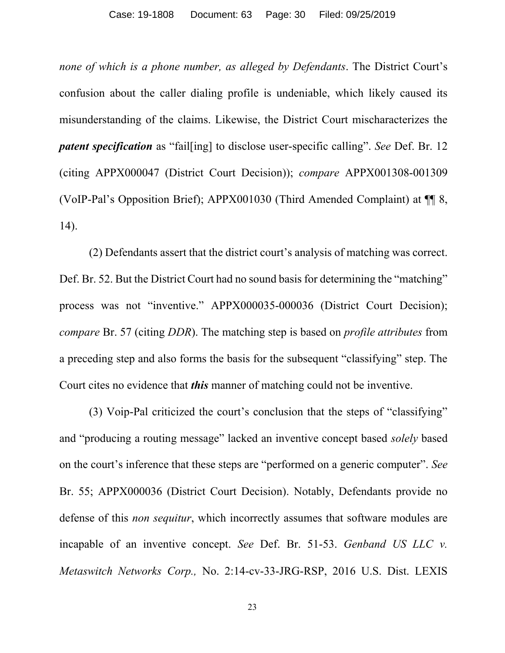*none of which is a phone number, as alleged by Defendants*. The District Court's confusion about the caller dialing profile is undeniable, which likely caused its misunderstanding of the claims. Likewise, the District Court mischaracterizes the *patent specification* as "fail[ing] to disclose user-specific calling". *See* Def. Br. 12 (citing APPX000047 (District Court Decision)); *compare* APPX001308-001309 (VoIP-Pal's Opposition Brief); APPX001030 (Third Amended Complaint) at ¶¶ 8, 14).

(2) Defendants assert that the district court's analysis of matching was correct. Def. Br. 52. But the District Court had no sound basis for determining the "matching" process was not "inventive." APPX000035-000036 (District Court Decision); *compare* Br. 57 (citing *DDR*). The matching step is based on *profile attributes* from a preceding step and also forms the basis for the subsequent "classifying" step. The Court cites no evidence that *this* manner of matching could not be inventive.

(3) Voip-Pal criticized the court's conclusion that the steps of "classifying" and "producing a routing message" lacked an inventive concept based *solely* based on the court's inference that these steps are "performed on a generic computer". *See* Br. 55; APPX000036 (District Court Decision). Notably, Defendants provide no defense of this *non sequitur*, which incorrectly assumes that software modules are incapable of an inventive concept. *See* Def. Br. 51-53. *Genband US LLC v. Metaswitch Networks Corp.,* No. 2:14-cv-33-JRG-RSP, 2016 U.S. Dist. LEXIS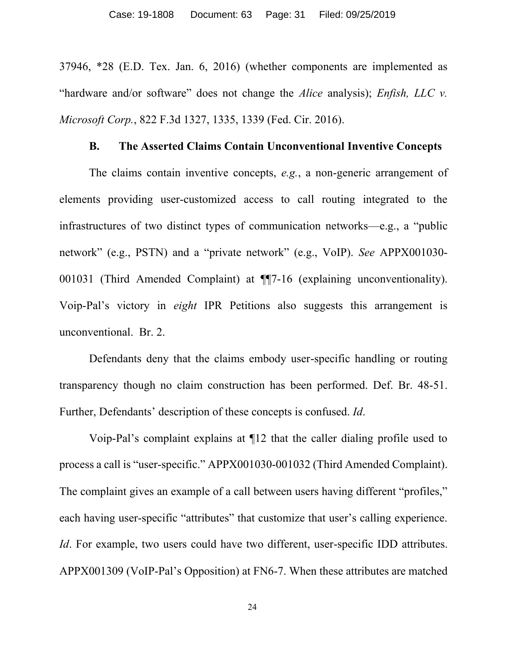37946, \*28 (E.D. Tex. Jan. 6, 2016) (whether components are implemented as "hardware and/or software" does not change the *Alice* analysis); *Enfish, LLC v. Microsoft Corp.*, 822 F.3d 1327, 1335, 1339 (Fed. Cir. 2016).

#### **B. The Asserted Claims Contain Unconventional Inventive Concepts**

The claims contain inventive concepts, *e.g.*, a non-generic arrangement of elements providing user-customized access to call routing integrated to the infrastructures of two distinct types of communication networks—e.g., a "public network" (e.g., PSTN) and a "private network" (e.g., VoIP). *See* APPX001030- 001031 (Third Amended Complaint) at ¶¶7-16 (explaining unconventionality). Voip-Pal's victory in *eight* IPR Petitions also suggests this arrangement is unconventional. Br. 2.

Defendants deny that the claims embody user-specific handling or routing transparency though no claim construction has been performed. Def. Br. 48-51. Further, Defendants' description of these concepts is confused. *Id*.

Voip-Pal's complaint explains at ¶12 that the caller dialing profile used to process a call is "user-specific." APPX001030-001032 (Third Amended Complaint). The complaint gives an example of a call between users having different "profiles," each having user-specific "attributes" that customize that user's calling experience. *Id*. For example, two users could have two different, user-specific IDD attributes. APPX001309 (VoIP-Pal's Opposition) at FN6-7. When these attributes are matched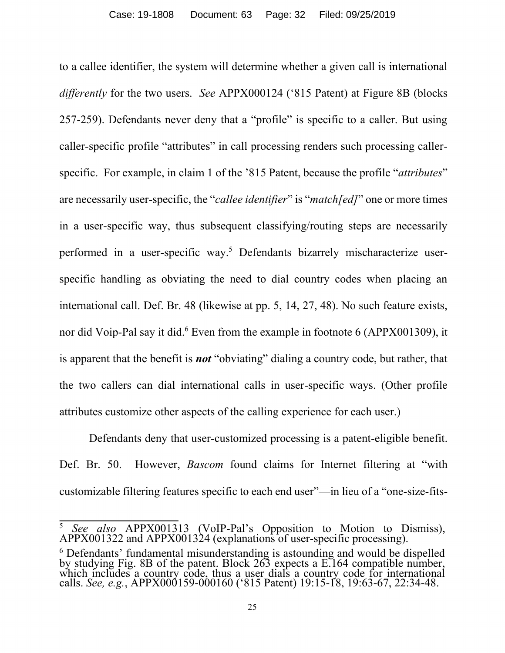to a callee identifier, the system will determine whether a given call is international *differently* for the two users. *See* APPX000124 ('815 Patent) at Figure 8B (blocks 257-259). Defendants never deny that a "profile" is specific to a caller. But using caller-specific profile "attributes" in call processing renders such processing callerspecific. For example, in claim 1 of the '815 Patent, because the profile "*attributes*" are necessarily user-specific, the "*callee identifier*" is "*match[ed]*" one or more times in a user-specific way, thus subsequent classifying/routing steps are necessarily performed in a user-specific way.<sup>5</sup> Defendants bizarrely mischaracterize userspecific handling as obviating the need to dial country codes when placing an international call. Def. Br. 48 (likewise at pp. 5, 14, 27, 48). No such feature exists, nor did Voip-Pal say it did.<sup>6</sup> Even from the example in footnote 6 (APPX001309), it is apparent that the benefit is *not* "obviating" dialing a country code, but rather, that the two callers can dial international calls in user-specific ways. (Other profile attributes customize other aspects of the calling experience for each user.)

Defendants deny that user-customized processing is a patent-eligible benefit. Def. Br. 50. However, *Bascom* found claims for Internet filtering at "with customizable filtering features specific to each end user"—in lieu of a "one-size-fits-

<sup>5</sup> *See also* APPX001313 (VoIP-Pal's Opposition to Motion to Dismiss), APPX001322 and APPX001324 (explanations of user-specific processing).

<sup>&</sup>lt;sup>6</sup> Defendants' fundamental misunderstanding is astounding and would be dispelled by studying Fig. 8B of the patent. Block 263 expects a E.164 compatible number, which includes a country code, thus a user dials a country code for international calls. *See, e.g.*, APPX000159-000160 ('815 Patent) 19:15-18, 19:63-67, 22:34-48.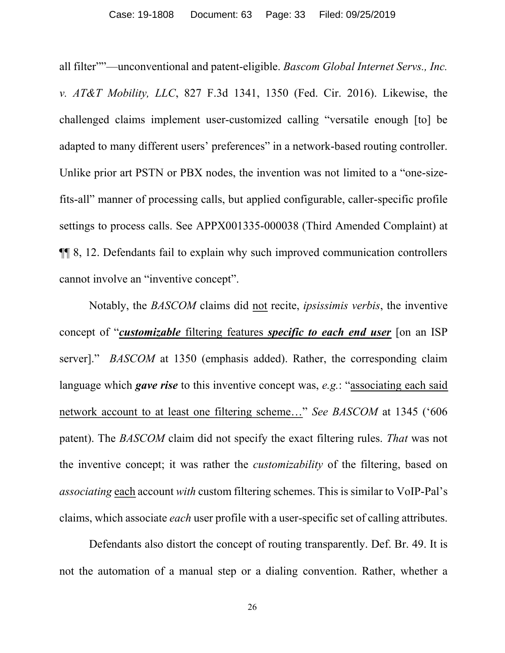all filter""—unconventional and patent-eligible. *Bascom Global Internet Servs., Inc. v. AT&T Mobility, LLC*, 827 F.3d 1341, 1350 (Fed. Cir. 2016). Likewise, the challenged claims implement user-customized calling "versatile enough [to] be adapted to many different users' preferences" in a network-based routing controller. Unlike prior art PSTN or PBX nodes, the invention was not limited to a "one-sizefits-all" manner of processing calls, but applied configurable, caller-specific profile settings to process calls. See APPX001335-000038 (Third Amended Complaint) at ¶¶ 8, 12. Defendants fail to explain why such improved communication controllers cannot involve an "inventive concept".

Notably, the *BASCOM* claims did not recite, *ipsissimis verbis*, the inventive concept of "*customizable* filtering features *specific to each end user* [on an ISP server]." *BASCOM* at 1350 (emphasis added). Rather, the corresponding claim language which *gave rise* to this inventive concept was, *e.g.*: "associating each said network account to at least one filtering scheme…" *See BASCOM* at 1345 ('606 patent). The *BASCOM* claim did not specify the exact filtering rules. *That* was not the inventive concept; it was rather the *customizability* of the filtering, based on *associating* each account *with* custom filtering schemes. This is similar to VoIP-Pal's claims, which associate *each* user profile with a user-specific set of calling attributes.

Defendants also distort the concept of routing transparently. Def. Br. 49. It is not the automation of a manual step or a dialing convention. Rather, whether a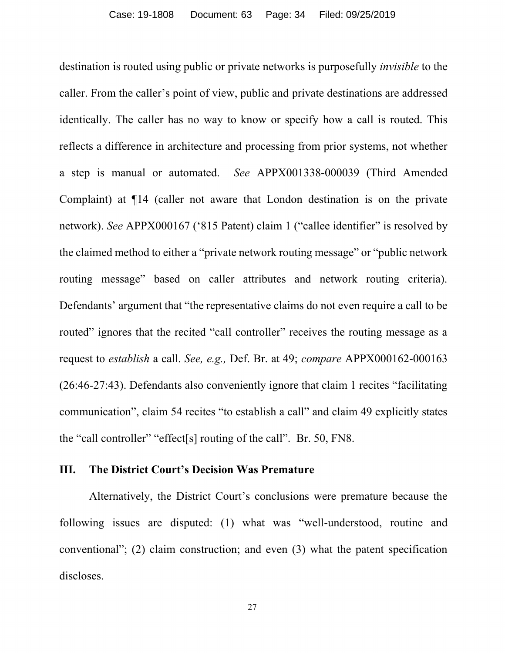destination is routed using public or private networks is purposefully *invisible* to the caller. From the caller's point of view, public and private destinations are addressed identically. The caller has no way to know or specify how a call is routed. This reflects a difference in architecture and processing from prior systems, not whether a step is manual or automated. *See* APPX001338-000039 (Third Amended Complaint) at ¶14 (caller not aware that London destination is on the private network). *See* APPX000167 ('815 Patent) claim 1 ("callee identifier" is resolved by the claimed method to either a "private network routing message" or "public network routing message" based on caller attributes and network routing criteria). Defendants' argument that "the representative claims do not even require a call to be routed" ignores that the recited "call controller" receives the routing message as a request to *establish* a call. *See, e.g.,* Def. Br. at 49; *compare* APPX000162-000163 (26:46-27:43). Defendants also conveniently ignore that claim 1 recites "facilitating communication", claim 54 recites "to establish a call" and claim 49 explicitly states the "call controller" "effect[s] routing of the call". Br. 50, FN8.

#### **III. The District Court's Decision Was Premature**

Alternatively, the District Court's conclusions were premature because the following issues are disputed: (1) what was "well-understood, routine and conventional"; (2) claim construction; and even (3) what the patent specification discloses.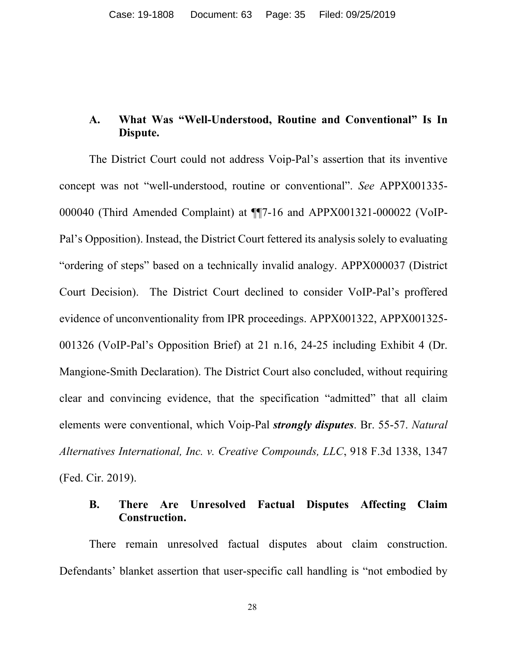## **A. What Was "Well-Understood, Routine and Conventional" Is In Dispute.**

The District Court could not address Voip-Pal's assertion that its inventive concept was not "well-understood, routine or conventional". *See* APPX001335- 000040 (Third Amended Complaint) at ¶¶7-16 and APPX001321-000022 (VoIP-Pal's Opposition). Instead, the District Court fettered its analysis solely to evaluating "ordering of steps" based on a technically invalid analogy. APPX000037 (District Court Decision). The District Court declined to consider VoIP-Pal's proffered evidence of unconventionality from IPR proceedings. APPX001322, APPX001325- 001326 (VoIP-Pal's Opposition Brief) at 21 n.16, 24-25 including Exhibit 4 (Dr. Mangione-Smith Declaration). The District Court also concluded, without requiring clear and convincing evidence, that the specification "admitted" that all claim elements were conventional, which Voip-Pal *strongly disputes*. Br. 55-57. *Natural Alternatives International, Inc. v. Creative Compounds, LLC*, 918 F.3d 1338, 1347 (Fed. Cir. 2019).

## **B. There Are Unresolved Factual Disputes Affecting Claim Construction.**

There remain unresolved factual disputes about claim construction. Defendants' blanket assertion that user-specific call handling is "not embodied by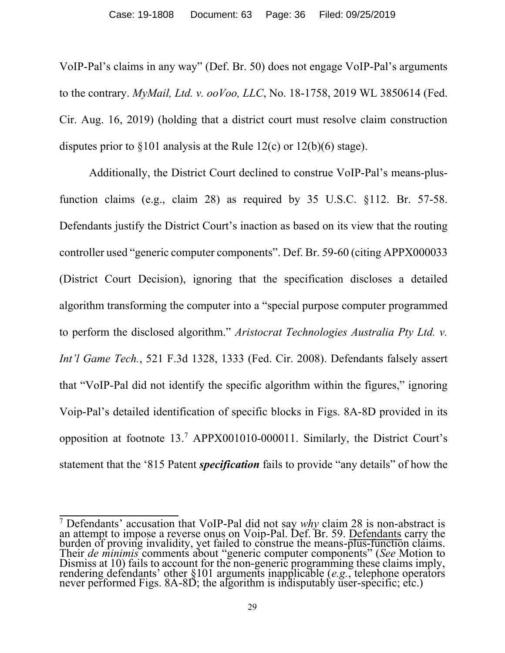VoIP-Pal's claims in any way" (Def. Br. 50) does not engage VoIP-Pal's arguments to the contrary. *MyMail, Ltd. v. ooVoo, LLC*, No. 18-1758, 2019 WL 3850614 (Fed. Cir. Aug. 16, 2019) (holding that a district court must resolve claim construction disputes prior to §101 analysis at the Rule 12(c) or 12(b)(6) stage).

Additionally, the District Court declined to construe VoIP-Pal's means-plusfunction claims (e.g., claim 28) as required by 35 U.S.C. §112. Br. 57-58. Defendants justify the District Court's inaction as based on its view that the routing controller used "generic computer components". Def. Br. 59-60 (citing APPX000033 (District Court Decision), ignoring that the specification discloses a detailed algorithm transforming the computer into a "special purpose computer programmed to perform the disclosed algorithm." *Aristocrat Technologies Australia Pty Ltd. v. Int'l Game Tech.*, 521 F.3d 1328, 1333 (Fed. Cir. 2008). Defendants falsely assert that "VoIP-Pal did not identify the specific algorithm within the figures," ignoring Voip-Pal's detailed identification of specific blocks in Figs. 8A-8D provided in its opposition at footnote 13.<sup>7</sup> APPX001010-000011. Similarly, the District Court's statement that the '815 Patent *specification* fails to provide "any details" of how the

<sup>7</sup> Defendants' accusation that VoIP-Pal did not say *why* claim 28 is non-abstract is an attempt to impose a reverse onus on Voip-Pal. Def. Br. 59. Defendants carry the burden of proving invalidity, yet failed to construe the means-plus-function claims. Their *de minimis* comments about "generic computer components" (*See* Motion to Dismiss at 10) fails to account for the non-generic programming these claims imply, rendering defendants' other §101 arguments inapplicable (*e.g.*, telephone operators never performed Figs. 8A-8D; the algorithm is indisputably user-specific; etc.)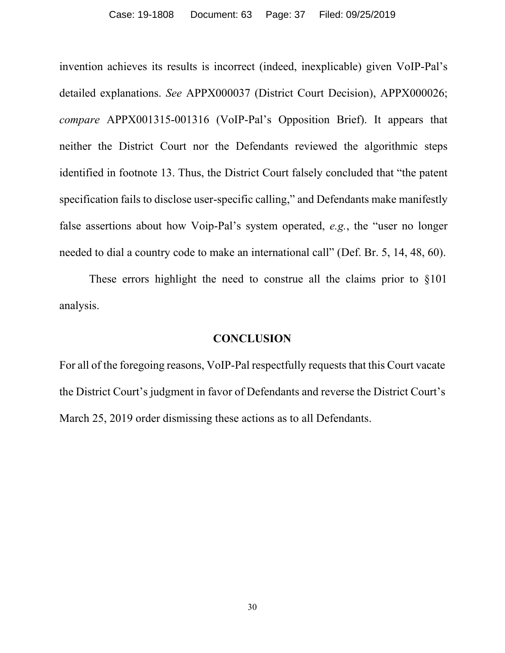invention achieves its results is incorrect (indeed, inexplicable) given VoIP-Pal's detailed explanations. *See* APPX000037 (District Court Decision), APPX000026; *compare* APPX001315-001316 (VoIP-Pal's Opposition Brief). It appears that neither the District Court nor the Defendants reviewed the algorithmic steps identified in footnote 13. Thus, the District Court falsely concluded that "the patent specification fails to disclose user-specific calling," and Defendants make manifestly false assertions about how Voip-Pal's system operated, *e.g.*, the "user no longer needed to dial a country code to make an international call" (Def. Br. 5, 14, 48, 60).

These errors highlight the need to construe all the claims prior to §101 analysis.

#### **CONCLUSION**

For all of the foregoing reasons, VoIP-Pal respectfully requests that this Court vacate the District Court's judgment in favor of Defendants and reverse the District Court's March 25, 2019 order dismissing these actions as to all Defendants.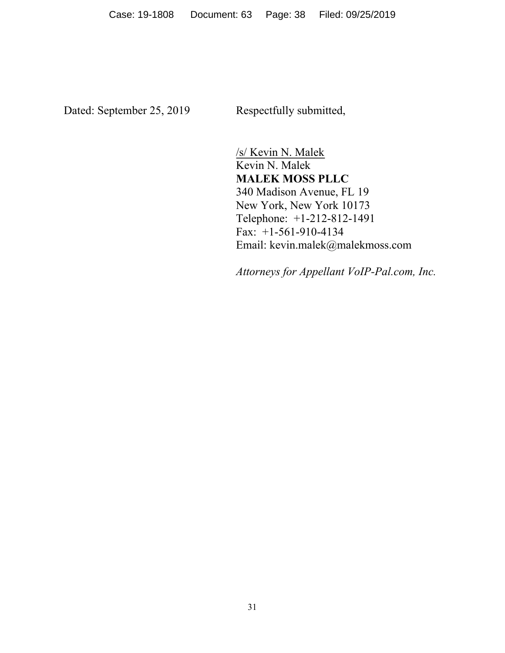Dated: September 25, 2019 Respectfully submitted,

/s/ Kevin N. Malek Kevin N. Malek **MALEK MOSS PLLC** 340 Madison Avenue, FL 19 New York, New York 10173 Telephone: +1-212-812-1491 Fax: +1-561-910-4134 Email: kevin.malek@malekmoss.com

*Attorneys for Appellant VoIP-Pal.com, Inc.*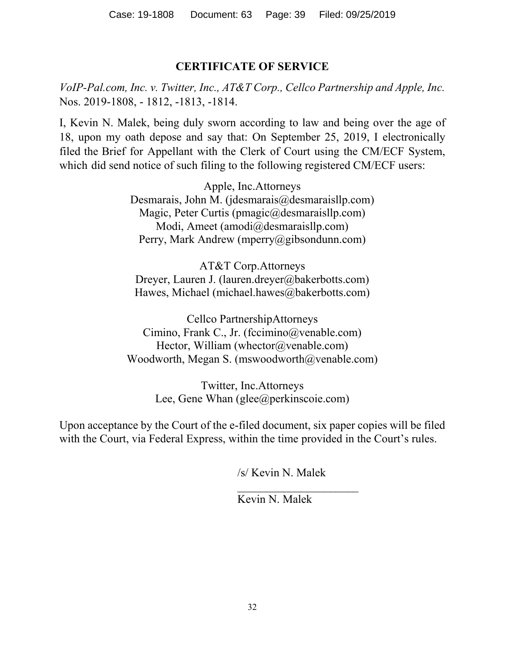## **CERTIFICATE OF SERVICE**

*VoIP-Pal.com, Inc. v. Twitter, Inc., AT&T Corp., Cellco Partnership and Apple, Inc.* Nos. 2019-1808, - 1812, -1813, -1814.

I, Kevin N. Malek, being duly sworn according to law and being over the age of 18, upon my oath depose and say that: On September 25, 2019, I electronically filed the Brief for Appellant with the Clerk of Court using the CM/ECF System, which did send notice of such filing to the following registered CM/ECF users:

> Apple, Inc.Attorneys Desmarais, John M. ( $j$ desmarais $@$ desmaraisllp.com) Magic, Peter Curtis (pmagic@desmaraisllp.com) Modi, Ameet (amodi@desmaraisllp.com) Perry, Mark Andrew (mperry@gibsondunn.com)

AT&T Corp.Attorneys Dreyer, Lauren J. (lauren.dreyer@bakerbotts.com) Hawes, Michael (michael.hawes@bakerbotts.com)

Cellco PartnershipAttorneys Cimino, Frank C., Jr. (fccimino@venable.com) Hector, William (whector@venable.com) Woodworth, Megan S. (mswoodworth@venable.com)

> Twitter, Inc.Attorneys Lee, Gene Whan (glee@perkinscoie.com)

Upon acceptance by the Court of the e-filed document, six paper copies will be filed with the Court, via Federal Express, within the time provided in the Court's rules.

/s/ Kevin N. Malek

 $\overline{\phantom{a}}$ 

Kevin N. Malek